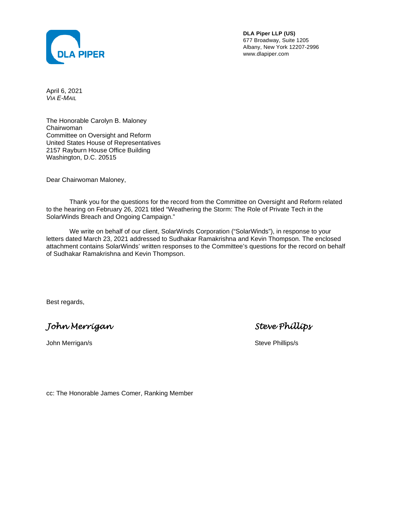

**DLA Piper LLP (US)**  677 Broadway, Suite 1205 Albany, New York 12207-2996 www.dlapiper.com

April 6, 2021 *VIA E-MAIL*

The Honorable Carolyn B. Maloney Chairwoman Committee on Oversight and Reform United States House of Representatives 2157 Rayburn House Office Building Washington, D.C. 20515

Dear Chairwoman Maloney,

Thank you for the questions for the record from the Committee on Oversight and Reform related to the hearing on February 26, 2021 titled "Weathering the Storm: The Role of Private Tech in the SolarWinds Breach and Ongoing Campaign."

We write on behalf of our client, SolarWinds Corporation ("SolarWinds"), in response to your letters dated March 23, 2021 addressed to Sudhakar Ramakrishna and Kevin Thompson. The enclosed attachment contains SolarWinds' written responses to the Committee's questions for the record on behalf of Sudhakar Ramakrishna and Kevin Thompson.

Best regards,

*John Merrigan Steve Phillips* 

John Merrigan/s **Steve Phillips** Steve Phillips **Steve Phillips** Steve Phillips **Steve Phillips** Steve Phillips **Steve Phillips** Steve Phillips **Steve Phillips** Steve Phillips **Steve Phillips** Steve Phillips **Steve Phillip** 

cc: The Honorable James Comer, Ranking Member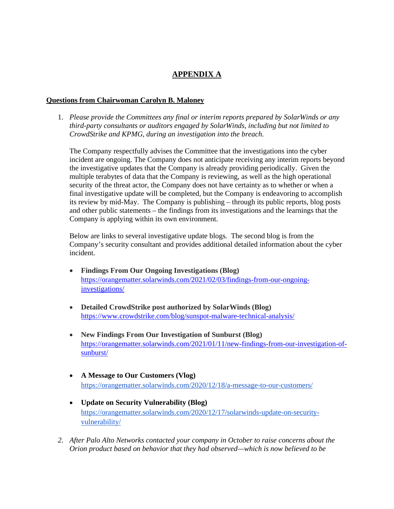# **APPENDIX A**

#### **Questions from Chairwoman Carolyn B. Maloney**

1. *Please provide the Committees any final or interim reports prepared by SolarWinds or any third-party consultants or auditors engaged by SolarWinds, including but not limited to CrowdStrike and KPMG, during an investigation into the breach.* 

The Company respectfully advises the Committee that the investigations into the cyber incident are ongoing. The Company does not anticipate receiving any interim reports beyond the investigative updates that the Company is already providing periodically. Given the multiple terabytes of data that the Company is reviewing, as well as the high operational security of the threat actor, the Company does not have certainty as to whether or when a final investigative update will be completed, but the Company is endeavoring to accomplish its review by mid-May. The Company is publishing – through its public reports, blog posts and other public statements – the findings from its investigations and the learnings that the Company is applying within its own environment.

Below are links to several investigative update blogs. The second blog is from the Company's security consultant and provides additional detailed information about the cyber incident.

- **Findings From Our Ongoing Investigations (Blog)** [https://orangematter.solarwinds.com/2021/02/03/findings-from-our-ongoing](https://orangematter.solarwinds.com/2021/02/03/findings-from-our-ongoing-investigations/)[investigations/](https://orangematter.solarwinds.com/2021/02/03/findings-from-our-ongoing-investigations/)
- **Detailed CrowdStrike post authorized by SolarWinds (Blog)** <https://www.crowdstrike.com/blog/sunspot-malware-technical-analysis/>
- **New Findings From Our Investigation of Sunburst (Blog)** [https://orangematter.solarwinds.com/2021/01/11/new-findings-from-our-investigation-of](https://orangematter.solarwinds.com/2021/01/11/new-findings-from-our-investigation-of-sunburst/)[sunburst/](https://orangematter.solarwinds.com/2021/01/11/new-findings-from-our-investigation-of-sunburst/)
- **A Message to Our Customers (Vlog)** https://orangematter.solarwinds.com/2020/12/18/a-message-to-our-customers/
- **Update on Security Vulnerability (Blog)** https://orangematter.solarwinds.com/2020/12/17/solarwinds-update-on-securityvulnerability/
- *2. After Palo Alto Networks contacted your company in October to raise concerns about the Orion product based on behavior that they had observed—which is now believed to be*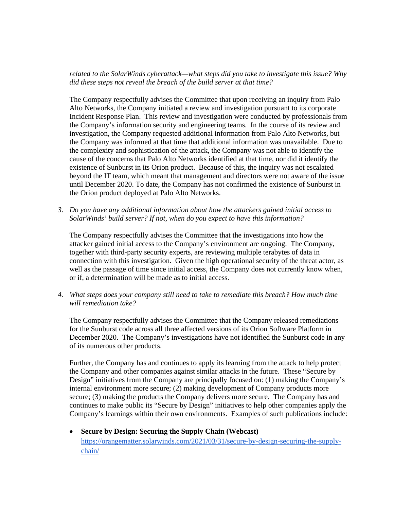## *related to the SolarWinds cyberattack—what steps did you take to investigate this issue? Why did these steps not reveal the breach of the build server at that time?*

The Company respectfully advises the Committee that upon receiving an inquiry from Palo Alto Networks, the Company initiated a review and investigation pursuant to its corporate Incident Response Plan. This review and investigation were conducted by professionals from the Company's information security and engineering teams. In the course of its review and investigation, the Company requested additional information from Palo Alto Networks, but the Company was informed at that time that additional information was unavailable. Due to the complexity and sophistication of the attack, the Company was not able to identify the cause of the concerns that Palo Alto Networks identified at that time, nor did it identify the existence of Sunburst in its Orion product. Because of this, the inquiry was not escalated beyond the IT team, which meant that management and directors were not aware of the issue until December 2020. To date, the Company has not confirmed the existence of Sunburst in the Orion product deployed at Palo Alto Networks.

*3. Do you have any additional information about how the attackers gained initial access to SolarWinds' build server? If not, when do you expect to have this information?* 

The Company respectfully advises the Committee that the investigations into how the attacker gained initial access to the Company's environment are ongoing. The Company, together with third-party security experts, are reviewing multiple terabytes of data in connection with this investigation. Given the high operational security of the threat actor, as well as the passage of time since initial access, the Company does not currently know when, or if, a determination will be made as to initial access.

*4. What steps does your company still need to take to remediate this breach? How much time will remediation take?* 

The Company respectfully advises the Committee that the Company released remediations for the Sunburst code across all three affected versions of its Orion Software Platform in December 2020. The Company's investigations have not identified the Sunburst code in any of its numerous other products.

Further, the Company has and continues to apply its learning from the attack to help protect the Company and other companies against similar attacks in the future. These "Secure by Design" initiatives from the Company are principally focused on: (1) making the Company's internal environment more secure; (2) making development of Company products more secure; (3) making the products the Company delivers more secure. The Company has and continues to make public its "Secure by Design" initiatives to help other companies apply the Company's learnings within their own environments. Examples of such publications include:

 **Secure by Design: Securing the Supply Chain (Webcast)**  https://orangematter.solarwinds.com/2021/03/31/secure-by-design-securing-the-supplychain/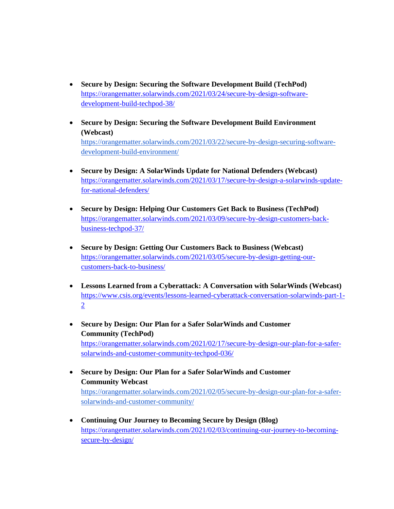- **Secure by Design: Securing the Software Development Build (TechPod)**  [https://orangematter.solarwinds.com/2021/03/24/secure-by-design-software](https://orangematter.solarwinds.com/2021/03/24/secure-by-design-software-development-build-techpod-38/)[development-build-techpod-38/](https://orangematter.solarwinds.com/2021/03/24/secure-by-design-software-development-build-techpod-38/)
- **Secure by Design: Securing the Software Development Build Environment (Webcast)**  https://orangematter.solarwinds.com/2021/03/22/secure-by-design-securing-softwaredevelopment-build-environment/
- **Secure by Design: A SolarWinds Update for National Defenders (Webcast)**  [https://orangematter.solarwinds.com/2021/03/17/secure-by-design-a-solarwinds-update](https://orangematter.solarwinds.com/2021/03/17/secure-by-design-a-solarwinds-update-for-national-defenders/)[for-national-defenders/](https://orangematter.solarwinds.com/2021/03/17/secure-by-design-a-solarwinds-update-for-national-defenders/)
- **Secure by Design: Helping Our Customers Get Back to Business (TechPod)**  [https://orangematter.solarwinds.com/2021/03/09/secure-by-design-customers-back](https://orangematter.solarwinds.com/2021/03/09/secure-by-design-customers-back-business-techpod-37/)[business-techpod-37/](https://orangematter.solarwinds.com/2021/03/09/secure-by-design-customers-back-business-techpod-37/)
- **Secure by Design: Getting Our Customers Back to Business (Webcast)**  [https://orangematter.solarwinds.com/2021/03/05/secure-by-design-getting-our](https://orangematter.solarwinds.com/2021/03/05/secure-by-design-getting-our-customers-back-to-business/)[customers-back-to-business/](https://orangematter.solarwinds.com/2021/03/05/secure-by-design-getting-our-customers-back-to-business/)
- **Lessons Learned from a Cyberattack: A Conversation with SolarWinds (Webcast)**  [https://www.csis.org/events/lessons-learned-cyberattack-conversation-solarwinds-part-1-](https://www.csis.org/events/lessons-learned-cyberattack-conversation-solarwinds-part-1-2) 2
- **Secure by Design: Our Plan for a Safer SolarWinds and Customer Community (TechPod)**  [https://orangematter.solarwinds.com/2021/02/17/secure-by-design-our-plan-for-a-safer](https://orangematter.solarwinds.com/2021/02/17/secure-by-design-our-plan-for-a-safer-solarwinds-and-customer-community-techpod-036/)[solarwinds-and-customer-community-techpod-036/](https://orangematter.solarwinds.com/2021/02/17/secure-by-design-our-plan-for-a-safer-solarwinds-and-customer-community-techpod-036/)
- **Secure by Design: Our Plan for a Safer SolarWinds and Customer Community Webcast**  https://orangematter.solarwinds.com/2021/02/05/secure-by-design-our-plan-for-a-safersolarwinds-and-customer-community/
- **Continuing Our Journey to Becoming Secure by Design (Blog)**  [https://orangematter.solarwinds.com/2021/02/03/continuing-our-journey-to-becoming](https://orangematter.solarwinds.com/2021/02/03/continuing-our-journey-to-becoming-secure-by-design/)[secure-by-design/](https://orangematter.solarwinds.com/2021/02/03/continuing-our-journey-to-becoming-secure-by-design/)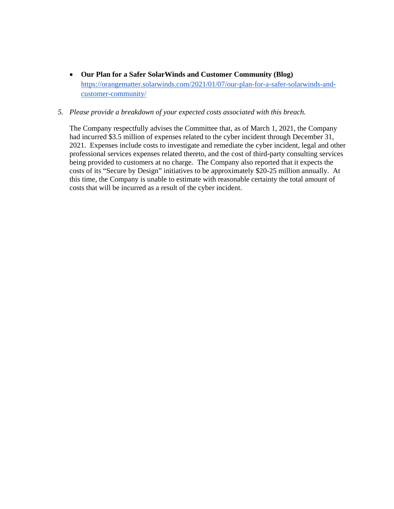**Our Plan for a Safer SolarWinds and Customer Community (Blog)**  https://orangematter.solarwinds.com/2021/01/07/our-plan-for-a-safer-solarwinds-andcustomer-community/

### *5. Please provide a breakdown of your expected costs associated with this breach.*

The Company respectfully advises the Committee that, as of March 1, 2021, the Company had incurred \$3.5 million of expenses related to the cyber incident through December 31, 2021. Expenses include costs to investigate and remediate the cyber incident, legal and other professional services expenses related thereto, and the cost of third-party consulting services being provided to customers at no charge. The Company also reported that it expects the costs of its "Secure by Design" initiatives to be approximately \$20-25 million annually. At this time, the Company is unable to estimate with reasonable certainty the total amount of costs that will be incurred as a result of the cyber incident.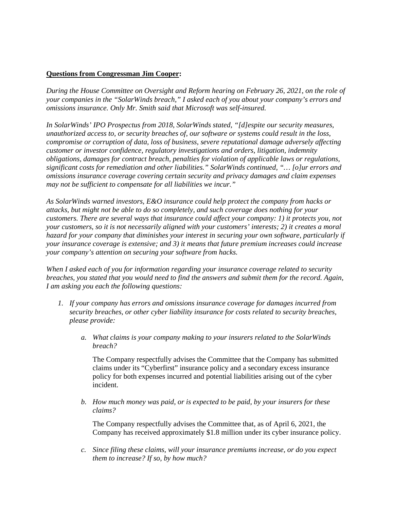## **Questions from Congressman Jim Cooper:**

*During the House Committee on Oversight and Reform hearing on February 26, 2021, on the role of your companies in the "SolarWinds breach," I asked each of you about your company's errors and omissions insurance. Only Mr. Smith said that Microsoft was self-insured.* 

*In SolarWinds' IPO Prospectus from 2018, SolarWinds stated, "[d]espite our security measures, unauthorized access to, or security breaches of, our software or systems could result in the loss, compromise or corruption of data, loss of business, severe reputational damage adversely affecting customer or investor confidence, regulatory investigations and orders, litigation, indemnity obligations, damages for contract breach, penalties for violation of applicable laws or regulations, significant costs for remediation and other liabilities." SolarWinds continued, "… [o]ur errors and omissions insurance coverage covering certain security and privacy damages and claim expenses may not be sufficient to compensate for all liabilities we incur."* 

*As SolarWinds warned investors, E&O insurance could help protect the company from hacks or attacks, but might not be able to do so completely, and such coverage does nothing for your customers. There are several ways that insurance could affect your company: 1) it protects you, not your customers, so it is not necessarily aligned with your customers' interests; 2) it creates a moral hazard for your company that diminishes your interest in securing your own software, particularly if your insurance coverage is extensive; and 3) it means that future premium increases could increase your company's attention on securing your software from hacks.* 

*When I asked each of you for information regarding your insurance coverage related to security breaches, you stated that you would need to find the answers and submit them for the record. Again, I am asking you each the following questions:* 

- *1. If your company has errors and omissions insurance coverage for damages incurred from security breaches, or other cyber liability insurance for costs related to security breaches, please provide:* 
	- *a. What claims is your company making to your insurers related to the SolarWinds breach?*

The Company respectfully advises the Committee that the Company has submitted claims under its "Cyberfirst" insurance policy and a secondary excess insurance policy for both expenses incurred and potential liabilities arising out of the cyber incident.

*b. How much money was paid, or is expected to be paid, by your insurers for these claims?* 

The Company respectfully advises the Committee that, as of April 6, 2021, the Company has received approximately \$1.8 million under its cyber insurance policy.

*c. Since filing these claims, will your insurance premiums increase, or do you expect them to increase? If so, by how much?*